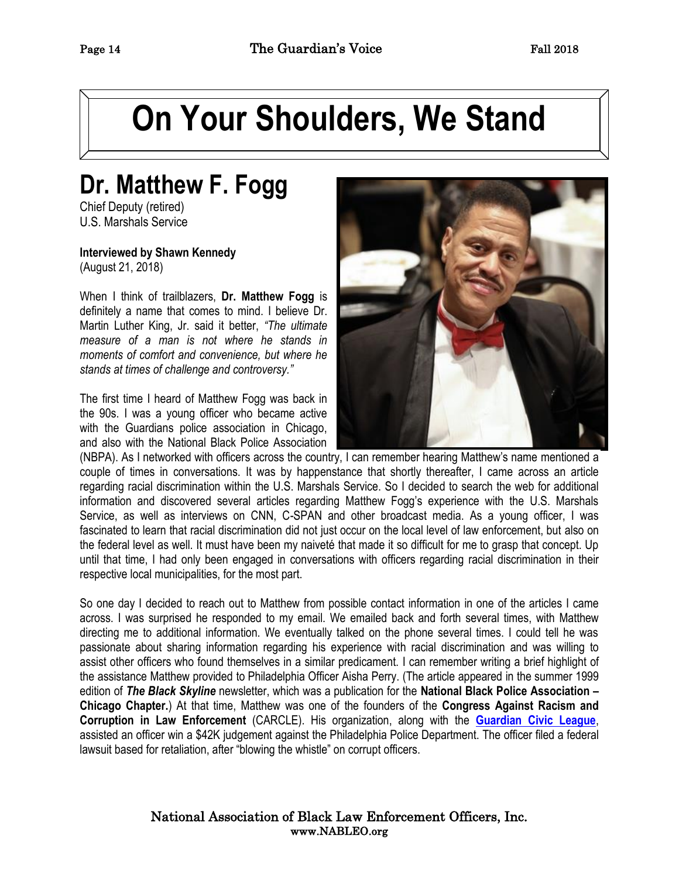# **On Your Shoulders, We Stand**

# **Dr. Matthew F. Fogg**

Chief Deputy (retired) U.S. Marshals Service

**Interviewed by Shawn Kennedy** (August 21, 2018)

When I think of trailblazers, **Dr. Matthew Fogg** is definitely a name that comes to mind. I believe Dr. Martin Luther King, Jr. said it better, *"The ultimate measure of a man is not where he stands in moments of comfort and convenience, but where he stands at times of challenge and controversy."* 

The first time I heard of Matthew Fogg was back in the 90s. I was a young officer who became active with the Guardians police association in Chicago, and also with the National Black Police Association



(NBPA). As I networked with officers across the country, I can remember hearing Matthew's name mentioned a couple of times in conversations. It was by happenstance that shortly thereafter, I came across an article regarding racial discrimination within the U.S. Marshals Service. So I decided to search the web for additional information and discovered several articles regarding Matthew Fogg's experience with the U.S. Marshals Service, as well as interviews on CNN, C-SPAN and other broadcast media. As a young officer, I was fascinated to learn that racial discrimination did not just occur on the local level of law enforcement, but also on the federal level as well. It must have been my naiveté that made it so difficult for me to grasp that concept. Up until that time, I had only been engaged in conversations with officers regarding racial discrimination in their respective local municipalities, for the most part.

So one day I decided to reach out to Matthew from possible contact information in one of the articles I came across. I was surprised he responded to my email. We emailed back and forth several times, with Matthew directing me to additional information. We eventually talked on the phone several times. I could tell he was passionate about sharing information regarding his experience with racial discrimination and was willing to assist other officers who found themselves in a similar predicament. I can remember writing a brief highlight of the assistance Matthew provided to Philadelphia Officer Aisha Perry. (The article appeared in the summer 1999 edition of *The Black Skyline* newsletter, which was a publication for the **National Black Police Association – Chicago Chapter.**) At that time, Matthew was one of the founders of the **Congress Against Racism and Corruption in Law Enforcement** (CARCLE). His organization, along with the **[Guardian Civic League](http://www.guardiancivicleague.net/)**, assisted an officer win a \$42K judgement against the Philadelphia Police Department. The officer filed a federal lawsuit based for retaliation, after "blowing the whistle" on corrupt officers.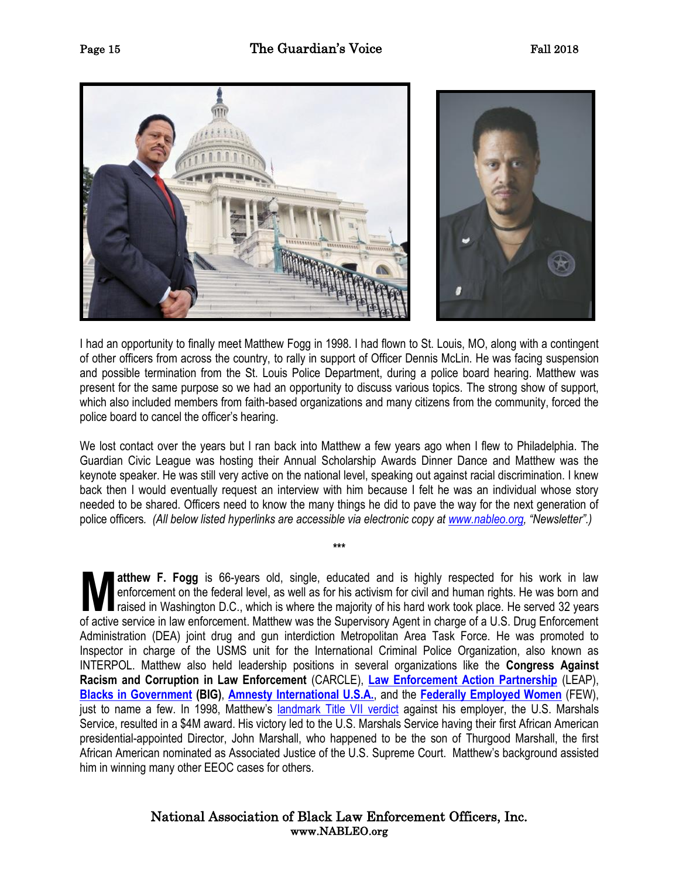

I had an opportunity to finally meet Matthew Fogg in 1998. I had flown to St. Louis, MO, along with a contingent of other officers from across the country, to rally in support of Officer Dennis McLin. He was facing suspension and possible termination from the St. Louis Police Department, during a police board hearing. Matthew was present for the same purpose so we had an opportunity to discuss various topics. The strong show of support, which also included members from faith-based organizations and many citizens from the community, forced the police board to cancel the officer's hearing.

We lost contact over the years but I ran back into Matthew a few years ago when I flew to Philadelphia. The Guardian Civic League was hosting their Annual Scholarship Awards Dinner Dance and Matthew was the keynote speaker. He was still very active on the national level, speaking out against racial discrimination. I knew back then I would eventually request an interview with him because I felt he was an individual whose story needed to be shared. Officers need to know the many things he did to pave the way for the next generation of police officers*. (All below listed hyperlinks are accessible via electronic copy at [www.nableo.org](http://www.nableo.org/), "Newsletter".)*

**\*\*\***

**atthew F. Fogg** is 66-years old, single, educated and is highly respected for his work in law enforcement on the federal level, as well as for his activism for civil and human rights. He was born and raised in Washington D.C., which is where the majority of his hard work took place. He served 32 years **atthew F. Fogg** is 66-years old, single, educated and is highly respected for his work in law enforcement on the federal level, as well as for his activism for civil and human rights. He was born and raised in Washington Administration (DEA) joint drug and gun interdiction Metropolitan Area Task Force. He was promoted to Inspector in charge of the USMS unit for the International Criminal Police Organization, also known as INTERPOL. Matthew also held leadership positions in several organizations like the **Congress Against Racism and Corruption in Law Enforcement** (CARCLE), **[Law Enforcement Action Partnership](https://lawenforcementactionpartnership.org/)** (LEAP), **[Blacks in Government](https://www.bigrxi.org/) (BIG)**, **[Amnesty International U.S.A.](https://www.amnestyusa.org/)**, and the **[Federally Employed Women](https://www.few.org/)** (FEW), just to name a few. In 1998, Matthew's [landmark Title VII verdict](https://img1.wsimg.com/blobby/go/b4b5768a-7960-458d-a5d0-a681a070cf58/downloads/1cg9b8p2p_392921.pdf) against his employer, the U.S. Marshals Service, resulted in a \$4M award. His victory led to the U.S. Marshals Service having their first African American presidential-appointed Director, John Marshall, who happened to be the son of Thurgood Marshall, the first African American nominated as Associated Justice of the U.S. Supreme Court. Matthew's background assisted him in winning many other EEOC cases for others.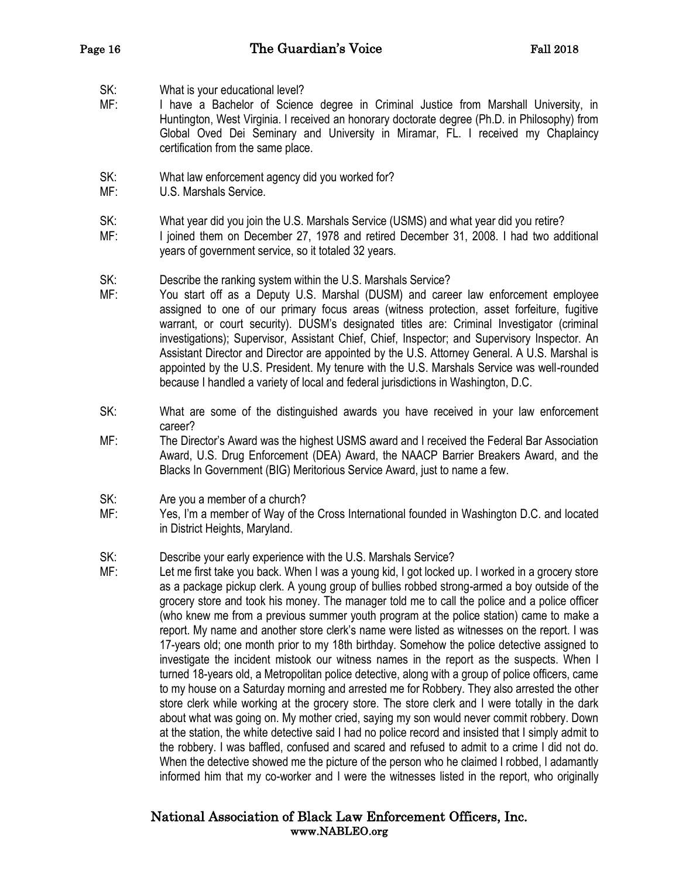- SK: What is your educational level?
- MF: I have a Bachelor of Science degree in Criminal Justice from Marshall University, in Huntington, West Virginia. I received an honorary doctorate degree (Ph.D. in Philosophy) from Global Oved Dei Seminary and University in Miramar, FL. I received my Chaplaincy certification from the same place.
- SK: What law enforcement agency did you worked for?
- MF: U.S. Marshals Service.
- SK: What year did you join the U.S. Marshals Service (USMS) and what year did you retire?
- MF: I joined them on December 27, 1978 and retired December 31, 2008. I had two additional years of government service, so it totaled 32 years.
- SK: Describe the ranking system within the U.S. Marshals Service?
- MF: You start off as a Deputy U.S. Marshal (DUSM) and career law enforcement employee assigned to one of our primary focus areas (witness protection, asset forfeiture, fugitive warrant, or court security). DUSM's designated titles are: Criminal Investigator (criminal investigations); Supervisor, Assistant Chief, Chief, Inspector; and Supervisory Inspector. An Assistant Director and Director are appointed by the U.S. Attorney General. A U.S. Marshal is appointed by the U.S. President. My tenure with the U.S. Marshals Service was well-rounded because I handled a variety of local and federal jurisdictions in Washington, D.C.
- SK: What are some of the distinguished awards you have received in your law enforcement career?
- MF: The Director's Award was the highest USMS award and I received the Federal Bar Association Award, U.S. Drug Enforcement (DEA) Award, the NAACP Barrier Breakers Award, and the Blacks In Government (BIG) Meritorious Service Award, just to name a few.
- SK: Are you a member of a church?
- MF: Yes, I'm a member of Way of the Cross International founded in Washington D.C. and located in District Heights, Maryland.
- SK: Describe your early experience with the U.S. Marshals Service?
- MF: Let me first take you back. When I was a young kid, I got locked up. I worked in a grocery store as a package pickup clerk. A young group of bullies robbed strong-armed a boy outside of the grocery store and took his money. The manager told me to call the police and a police officer (who knew me from a previous summer youth program at the police station) came to make a report. My name and another store clerk's name were listed as witnesses on the report. I was 17-years old; one month prior to my 18th birthday. Somehow the police detective assigned to investigate the incident mistook our witness names in the report as the suspects. When I turned 18-years old, a Metropolitan police detective, along with a group of police officers, came to my house on a Saturday morning and arrested me for Robbery. They also arrested the other store clerk while working at the grocery store. The store clerk and I were totally in the dark about what was going on. My mother cried, saying my son would never commit robbery. Down at the station, the white detective said I had no police record and insisted that I simply admit to the robbery. I was baffled, confused and scared and refused to admit to a crime I did not do. When the detective showed me the picture of the person who he claimed I robbed, I adamantly informed him that my co-worker and I were the witnesses listed in the report, who originally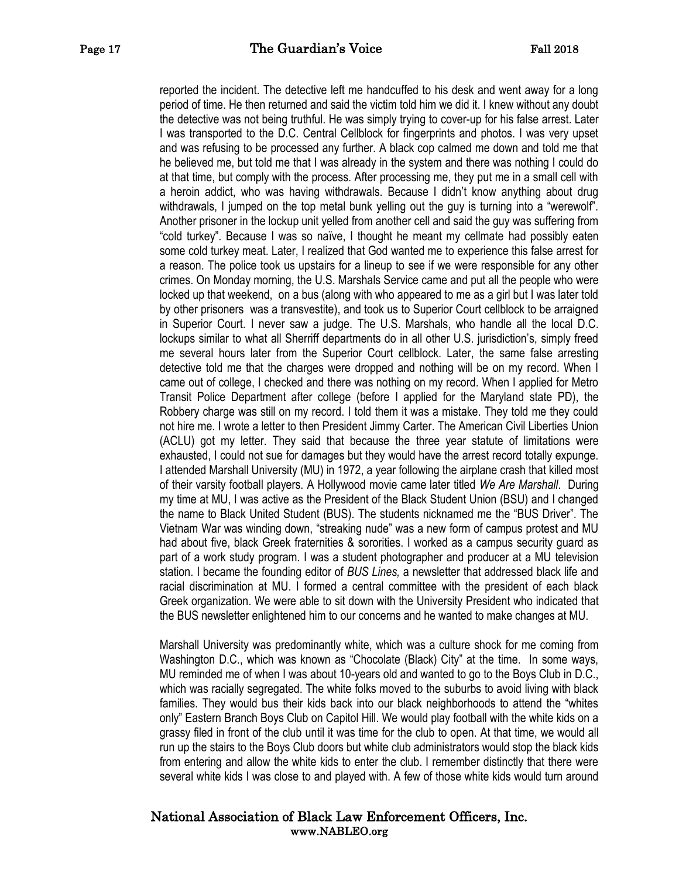reported the incident. The detective left me handcuffed to his desk and went away for a long period of time. He then returned and said the victim told him we did it. I knew without any doubt the detective was not being truthful. He was simply trying to cover-up for his false arrest. Later I was transported to the D.C. Central Cellblock for fingerprints and photos. I was very upset and was refusing to be processed any further. A black cop calmed me down and told me that he believed me, but told me that I was already in the system and there was nothing I could do at that time, but comply with the process. After processing me, they put me in a small cell with a heroin addict, who was having withdrawals. Because I didn't know anything about drug withdrawals, I jumped on the top metal bunk yelling out the guy is turning into a "werewolf". Another prisoner in the lockup unit yelled from another cell and said the guy was suffering from "cold turkey". Because I was so naïve, I thought he meant my cellmate had possibly eaten some cold turkey meat. Later, I realized that God wanted me to experience this false arrest for a reason. The police took us upstairs for a lineup to see if we were responsible for any other crimes. On Monday morning, the U.S. Marshals Service came and put all the people who were locked up that weekend, on a bus (along with who appeared to me as a girl but I was later told by other prisoners was a transvestite), and took us to Superior Court cellblock to be arraigned in Superior Court. I never saw a judge. The U.S. Marshals, who handle all the local D.C. lockups similar to what all Sherriff departments do in all other U.S. jurisdiction's, simply freed me several hours later from the Superior Court cellblock. Later, the same false arresting detective told me that the charges were dropped and nothing will be on my record. When I came out of college, I checked and there was nothing on my record. When I applied for Metro Transit Police Department after college (before I applied for the Maryland state PD), the Robbery charge was still on my record. I told them it was a mistake. They told me they could not hire me. I wrote a letter to then President Jimmy Carter. The American Civil Liberties Union (ACLU) got my letter. They said that because the three year statute of limitations were exhausted, I could not sue for damages but they would have the arrest record totally expunge. I attended Marshall University (MU) in 1972, a year following the airplane crash that killed most of their varsity football players. A Hollywood movie came later titled *We Are Marshall*. During my time at MU, I was active as the President of the Black Student Union (BSU) and I changed the name to Black United Student (BUS). The students nicknamed me the "BUS Driver". The Vietnam War was winding down, "streaking nude" was a new form of campus protest and MU had about five, black Greek fraternities & sororities. I worked as a campus security guard as part of a work study program. I was a student photographer and producer at a MU television station. I became the founding editor of *BUS Lines,* a newsletter that addressed black life and racial discrimination at MU. I formed a central committee with the president of each black Greek organization. We were able to sit down with the University President who indicated that the BUS newsletter enlightened him to our concerns and he wanted to make changes at MU.

 Marshall University was predominantly white, which was a culture shock for me coming from Washington D.C., which was known as "Chocolate (Black) City" at the time. In some ways, MU reminded me of when I was about 10-years old and wanted to go to the Boys Club in D.C., which was racially segregated. The white folks moved to the suburbs to avoid living with black families. They would bus their kids back into our black neighborhoods to attend the "whites only" Eastern Branch Boys Club on Capitol Hill. We would play football with the white kids on a grassy filed in front of the club until it was time for the club to open. At that time, we would all run up the stairs to the Boys Club doors but white club administrators would stop the black kids from entering and allow the white kids to enter the club. I remember distinctly that there were several white kids I was close to and played with. A few of those white kids would turn around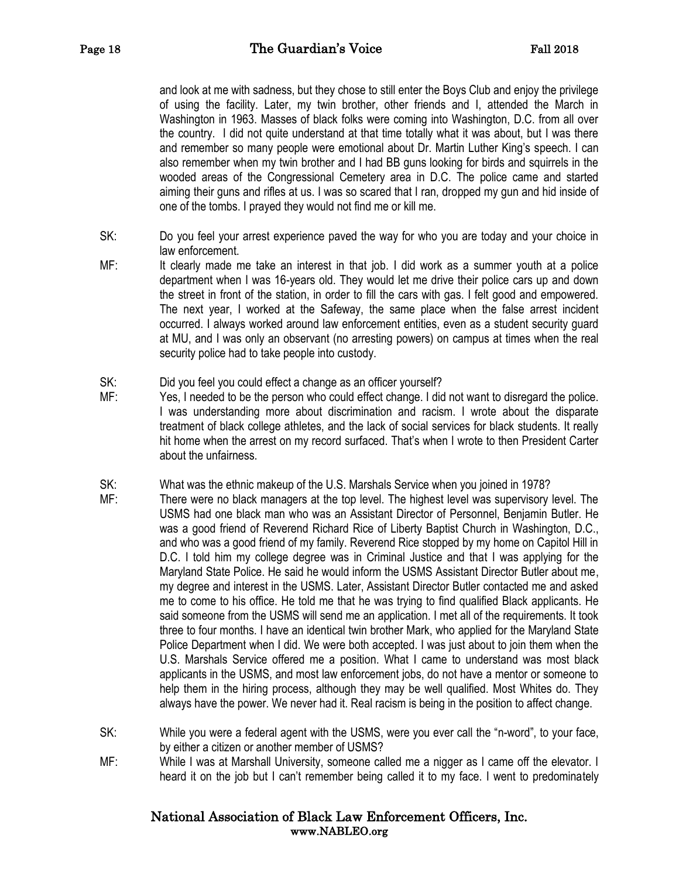and look at me with sadness, but they chose to still enter the Boys Club and enjoy the privilege of using the facility. Later, my twin brother, other friends and I, attended the March in Washington in 1963. Masses of black folks were coming into Washington, D.C. from all over the country. I did not quite understand at that time totally what it was about, but I was there and remember so many people were emotional about Dr. Martin Luther King's speech. I can also remember when my twin brother and I had BB guns looking for birds and squirrels in the wooded areas of the Congressional Cemetery area in D.C. The police came and started aiming their guns and rifles at us. I was so scared that I ran, dropped my gun and hid inside of one of the tombs. I prayed they would not find me or kill me.

- SK: Do you feel your arrest experience paved the way for who you are today and your choice in law enforcement.
- MF: It clearly made me take an interest in that job. I did work as a summer youth at a police department when I was 16-years old. They would let me drive their police cars up and down the street in front of the station, in order to fill the cars with gas. I felt good and empowered. The next year, I worked at the Safeway, the same place when the false arrest incident occurred. I always worked around law enforcement entities, even as a student security guard at MU, and I was only an observant (no arresting powers) on campus at times when the real security police had to take people into custody.
- SK: Did you feel you could effect a change as an officer yourself?
- MF: Yes, I needed to be the person who could effect change. I did not want to disregard the police. I was understanding more about discrimination and racism. I wrote about the disparate treatment of black college athletes, and the lack of social services for black students. It really hit home when the arrest on my record surfaced. That's when I wrote to then President Carter about the unfairness.
- SK: What was the ethnic makeup of the U.S. Marshals Service when you joined in 1978?
- MF: There were no black managers at the top level. The highest level was supervisory level. The USMS had one black man who was an Assistant Director of Personnel, Benjamin Butler. He was a good friend of Reverend Richard Rice of Liberty Baptist Church in Washington, D.C., and who was a good friend of my family. Reverend Rice stopped by my home on Capitol Hill in D.C. I told him my college degree was in Criminal Justice and that I was applying for the Maryland State Police. He said he would inform the USMS Assistant Director Butler about me, my degree and interest in the USMS. Later, Assistant Director Butler contacted me and asked me to come to his office. He told me that he was trying to find qualified Black applicants. He said someone from the USMS will send me an application. I met all of the requirements. It took three to four months. I have an identical twin brother Mark, who applied for the Maryland State Police Department when I did. We were both accepted. I was just about to join them when the U.S. Marshals Service offered me a position. What I came to understand was most black applicants in the USMS, and most law enforcement jobs, do not have a mentor or someone to help them in the hiring process, although they may be well qualified. Most Whites do. They always have the power. We never had it. Real racism is being in the position to affect change.
- SK: While you were a federal agent with the USMS, were you ever call the "n-word", to your face, by either a citizen or another member of USMS?
- MF: While I was at Marshall University, someone called me a nigger as I came off the elevator. I heard it on the job but I can't remember being called it to my face. I went to predominately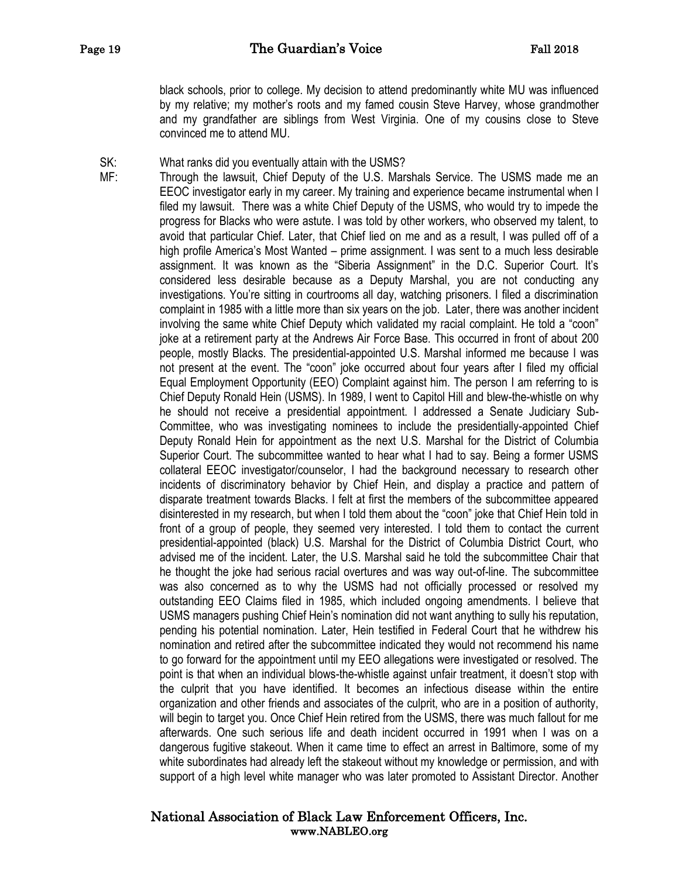black schools, prior to college. My decision to attend predominantly white MU was influenced by my relative; my mother's roots and my famed cousin Steve Harvey, whose grandmother and my grandfather are siblings from West Virginia. One of my cousins close to Steve convinced me to attend MU.

SK: What ranks did you eventually attain with the USMS?

MF: Through the lawsuit, Chief Deputy of the U.S. Marshals Service. The USMS made me an EEOC investigator early in my career. My training and experience became instrumental when I filed my lawsuit. There was a white Chief Deputy of the USMS, who would try to impede the progress for Blacks who were astute. I was told by other workers, who observed my talent, to avoid that particular Chief. Later, that Chief lied on me and as a result, I was pulled off of a high profile America's Most Wanted – prime assignment. I was sent to a much less desirable assignment. It was known as the "Siberia Assignment" in the D.C. Superior Court. It's considered less desirable because as a Deputy Marshal, you are not conducting any investigations. You're sitting in courtrooms all day, watching prisoners. I filed a discrimination complaint in 1985 with a little more than six years on the job. Later, there was another incident involving the same white Chief Deputy which validated my racial complaint. He told a "coon" joke at a retirement party at the Andrews Air Force Base. This occurred in front of about 200 people, mostly Blacks. The presidential-appointed U.S. Marshal informed me because I was not present at the event. The "coon" joke occurred about four years after I filed my official Equal Employment Opportunity (EEO) Complaint against him. The person I am referring to is Chief Deputy Ronald Hein (USMS). In 1989, I went to Capitol Hill and blew-the-whistle on why he should not receive a presidential appointment. I addressed a Senate Judiciary Sub-Committee, who was investigating nominees to include the presidentially-appointed Chief Deputy Ronald Hein for appointment as the next U.S. Marshal for the District of Columbia Superior Court. The subcommittee wanted to hear what I had to say. Being a former USMS collateral EEOC investigator/counselor, I had the background necessary to research other incidents of discriminatory behavior by Chief Hein, and display a practice and pattern of disparate treatment towards Blacks. I felt at first the members of the subcommittee appeared disinterested in my research, but when I told them about the "coon" joke that Chief Hein told in front of a group of people, they seemed very interested. I told them to contact the current presidential-appointed (black) U.S. Marshal for the District of Columbia District Court, who advised me of the incident. Later, the U.S. Marshal said he told the subcommittee Chair that he thought the joke had serious racial overtures and was way out-of-line. The subcommittee was also concerned as to why the USMS had not officially processed or resolved my outstanding EEO Claims filed in 1985, which included ongoing amendments. I believe that USMS managers pushing Chief Hein's nomination did not want anything to sully his reputation, pending his potential nomination. Later, Hein testified in Federal Court that he withdrew his nomination and retired after the subcommittee indicated they would not recommend his name to go forward for the appointment until my EEO allegations were investigated or resolved. The point is that when an individual blows-the-whistle against unfair treatment, it doesn't stop with the culprit that you have identified. It becomes an infectious disease within the entire organization and other friends and associates of the culprit, who are in a position of authority, will begin to target you. Once Chief Hein retired from the USMS, there was much fallout for me afterwards. One such serious life and death incident occurred in 1991 when I was on a dangerous fugitive stakeout. When it came time to effect an arrest in Baltimore, some of my white subordinates had already left the stakeout without my knowledge or permission, and with support of a high level white manager who was later promoted to Assistant Director. Another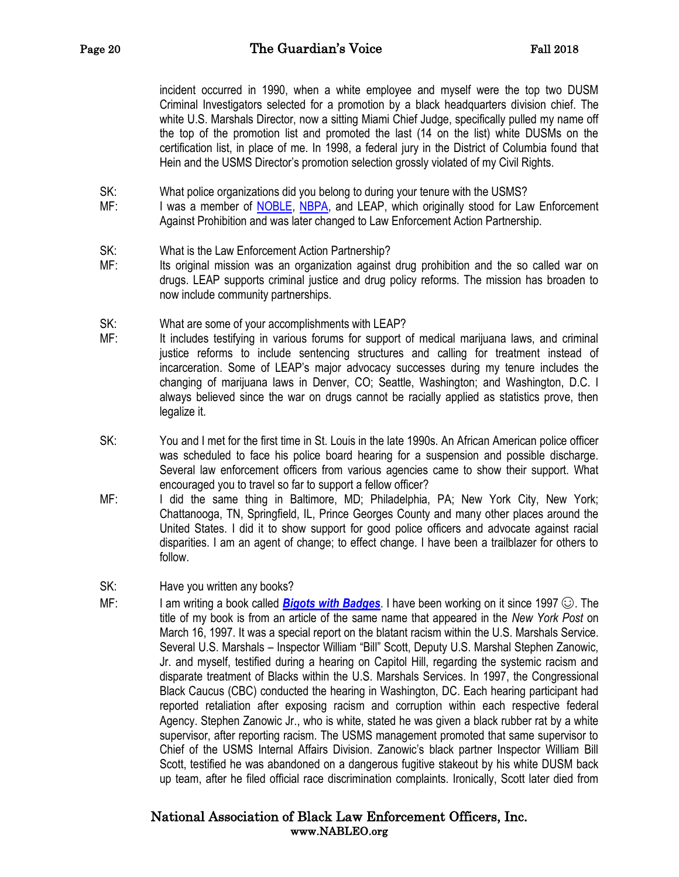incident occurred in 1990, when a white employee and myself were the top two DUSM Criminal Investigators selected for a promotion by a black headquarters division chief. The white U.S. Marshals Director, now a sitting Miami Chief Judge, specifically pulled my name off the top of the promotion list and promoted the last (14 on the list) white DUSMs on the certification list, in place of me. In 1998, a federal jury in the District of Columbia found that Hein and the USMS Director's promotion selection grossly violated of my Civil Rights.

SK: What police organizations did you belong to during your tenure with the USMS?

- MF: I was a member of **NOBLE, NBPA**, and LEAP, which originally stood for Law Enforcement Against Prohibition and was later changed to Law Enforcement Action Partnership.
- SK: What is the Law Enforcement Action Partnership?
- MF: Its original mission was an organization against drug prohibition and the so called war on drugs. LEAP supports criminal justice and drug policy reforms. The mission has broaden to now include community partnerships.
- SK: What are some of your accomplishments with LEAP?
- MF: It includes testifying in various forums for support of medical marijuana laws, and criminal justice reforms to include sentencing structures and calling for treatment instead of incarceration. Some of LEAP's major advocacy successes during my tenure includes the changing of marijuana laws in Denver, CO; Seattle, Washington; and Washington, D.C. I always believed since the war on drugs cannot be racially applied as statistics prove, then legalize it.
- SK: You and I met for the first time in St. Louis in the late 1990s. An African American police officer was scheduled to face his police board hearing for a suspension and possible discharge. Several law enforcement officers from various agencies came to show their support. What encouraged you to travel so far to support a fellow officer?
- MF: I did the same thing in Baltimore, MD; Philadelphia, PA; New York City, New York; Chattanooga, TN, Springfield, IL, Prince Georges County and many other places around the United States. I did it to show support for good police officers and advocate against racial disparities. I am an agent of change; to effect change. I have been a trailblazer for others to follow.
- SK: Have you written any books?
- MF: I am writing a book called **[Bigots with Badges](https://bigotswithbadges.com/)**. I have been working on it since 1997  $\odot$ . The title of my book is from an article of the same name that appeared in the *New York Post* on March 16, 1997. It was a special report on the blatant racism within the U.S. Marshals Service. Several U.S. Marshals – Inspector William "Bill" Scott, Deputy U.S. Marshal Stephen Zanowic, Jr. and myself, testified during a hearing on Capitol Hill, regarding the systemic racism and disparate treatment of Blacks within the U.S. Marshals Services. In 1997, the Congressional Black Caucus (CBC) conducted the hearing in Washington, DC. Each hearing participant had reported retaliation after exposing racism and corruption within each respective federal Agency. Stephen Zanowic Jr., who is white, stated he was given a black rubber rat by a white supervisor, after reporting racism. The USMS management promoted that same supervisor to Chief of the USMS Internal Affairs Division. Zanowic's black partner Inspector William Bill Scott, testified he was abandoned on a dangerous fugitive stakeout by his white DUSM back up team, after he filed official race discrimination complaints. Ironically, Scott later died from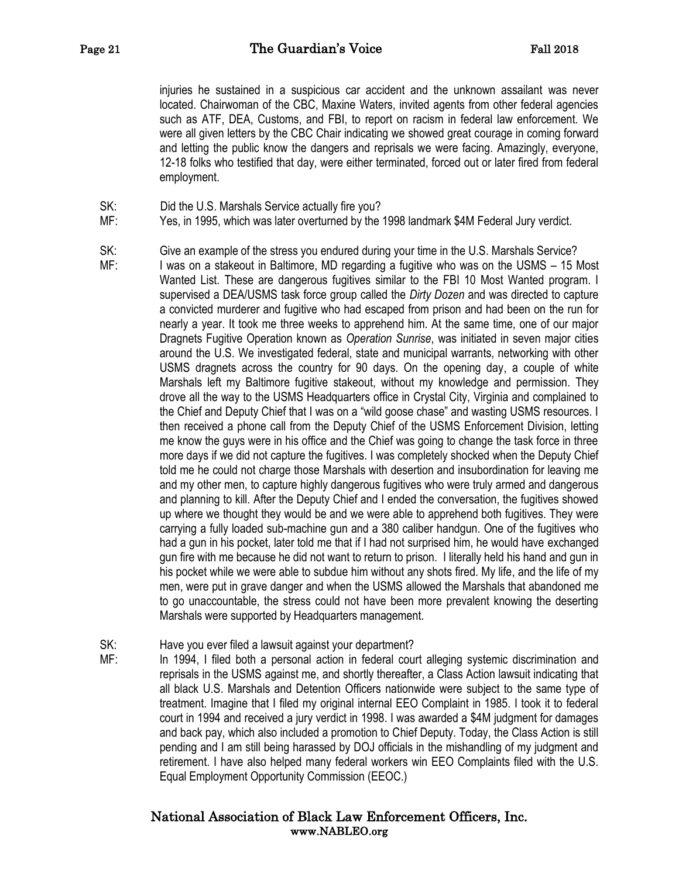injuries he sustained in a suspicious car accident and the unknown assailant was never located. Chairwoman of the CBC, Maxine Waters, invited agents from other federal agencies such as ATF, DEA, Customs, and FBI, to report on racism in federal law enforcement. We were all given letters by the CBC Chair indicating we showed great courage in coming forward and letting the public know the dangers and reprisals we were facing. Amazingly, everyone, 12-18 folks who testified that day, were either terminated, forced out or later fired from federal employment.

- SK: Did the U.S. Marshals Service actually fire you?
- MF: Yes, in 1995, which was later overturned by the 1998 landmark \$4M Federal Jury verdict.
- SK: Give an example of the stress you endured during your time in the U.S. Marshals Service?
- MF: I was on a stakeout in Baltimore, MD regarding a fugitive who was on the USMS 15 Most Wanted List. These are dangerous fugitives similar to the FBI 10 Most Wanted program. I supervised a DEA/USMS task force group called the *Dirty Dozen* and was directed to capture a convicted murderer and fugitive who had escaped from prison and had been on the run for nearly a year. It took me three weeks to apprehend him. At the same time, one of our major Dragnets Fugitive Operation known as *Operation Sunrise*, was initiated in seven major cities around the U.S. We investigated federal, state and municipal warrants, networking with other USMS dragnets across the country for 90 days. On the opening day, a couple of white Marshals left my Baltimore fugitive stakeout, without my knowledge and permission. They drove all the way to the USMS Headquarters office in Crystal City, Virginia and complained to the Chief and Deputy Chief that I was on a "wild goose chase" and wasting USMS resources. I then received a phone call from the Deputy Chief of the USMS Enforcement Division, letting me know the guys were in his office and the Chief was going to change the task force in three more days if we did not capture the fugitives. I was completely shocked when the Deputy Chief told me he could not charge those Marshals with desertion and insubordination for leaving me and my other men, to capture highly dangerous fugitives who were truly armed and dangerous and planning to kill. After the Deputy Chief and I ended the conversation, the fugitives showed up where we thought they would be and we were able to apprehend both fugitives. They were carrying a fully loaded sub-machine gun and a 380 caliber handgun. One of the fugitives who had a gun in his pocket, later told me that if I had not surprised him, he would have exchanged gun fire with me because he did not want to return to prison. I literally held his hand and gun in his pocket while we were able to subdue him without any shots fired. My life, and the life of my men, were put in grave danger and when the USMS allowed the Marshals that abandoned me to go unaccountable, the stress could not have been more prevalent knowing the deserting Marshals were supported by Headquarters management.
- SK: Have you ever filed a lawsuit against your department?
- MF: In 1994, I filed both a personal action in federal court alleging systemic discrimination and reprisals in the USMS against me, and shortly thereafter, a Class Action lawsuit indicating that all black U.S. Marshals and Detention Officers nationwide were subject to the same type of treatment. Imagine that I filed my original internal EEO Complaint in 1985. I took it to federal court in 1994 and received a jury verdict in 1998. I was awarded a \$4M judgment for damages and back pay, which also included a promotion to Chief Deputy. Today, the Class Action is still pending and I am still being harassed by DOJ officials in the mishandling of my judgment and retirement. I have also helped many federal workers win EEO Complaints filed with the U.S. Equal Employment Opportunity Commission (EEOC.)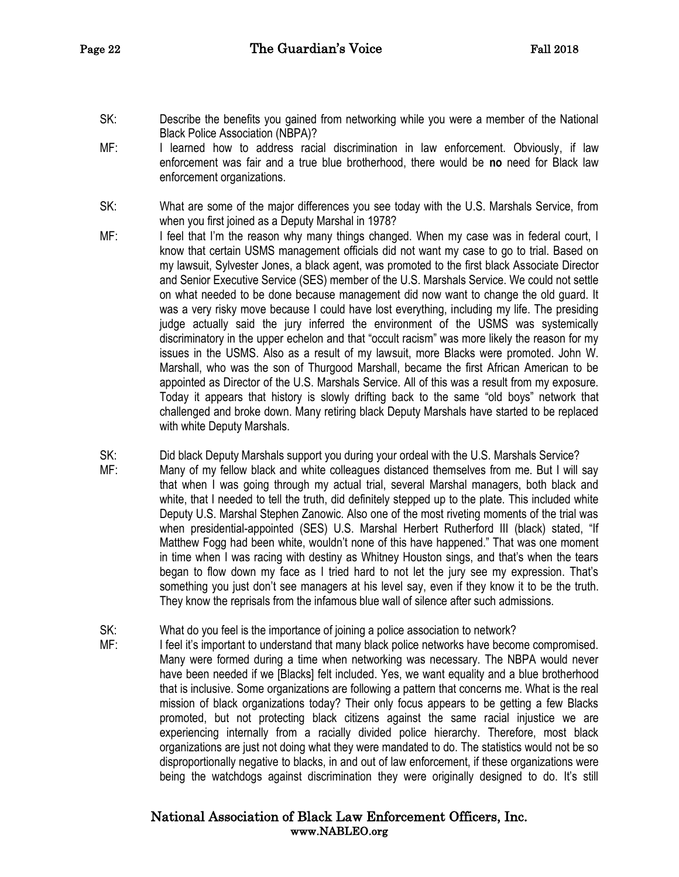- SK: Describe the benefits you gained from networking while you were a member of the National Black Police Association (NBPA)?
- MF: I learned how to address racial discrimination in law enforcement. Obviously, if law enforcement was fair and a true blue brotherhood, there would be **no** need for Black law enforcement organizations.
- SK: What are some of the major differences you see today with the U.S. Marshals Service, from when you first joined as a Deputy Marshal in 1978?
- MF: I feel that I'm the reason why many things changed. When my case was in federal court, I know that certain USMS management officials did not want my case to go to trial. Based on my lawsuit, Sylvester Jones, a black agent, was promoted to the first black Associate Director and Senior Executive Service (SES) member of the U.S. Marshals Service. We could not settle on what needed to be done because management did now want to change the old guard. It was a very risky move because I could have lost everything, including my life. The presiding judge actually said the jury inferred the environment of the USMS was systemically discriminatory in the upper echelon and that "occult racism" was more likely the reason for my issues in the USMS. Also as a result of my lawsuit, more Blacks were promoted. John W. Marshall, who was the son of Thurgood Marshall, became the first African American to be appointed as Director of the U.S. Marshals Service. All of this was a result from my exposure. Today it appears that history is slowly drifting back to the same "old boys" network that challenged and broke down. Many retiring black Deputy Marshals have started to be replaced with white Deputy Marshals.
- SK: Did black Deputy Marshals support you during your ordeal with the U.S. Marshals Service?
- MF: Many of my fellow black and white colleagues distanced themselves from me. But I will sav that when I was going through my actual trial, several Marshal managers, both black and white, that I needed to tell the truth, did definitely stepped up to the plate. This included white Deputy U.S. Marshal Stephen Zanowic. Also one of the most riveting moments of the trial was when presidential-appointed (SES) U.S. Marshal Herbert Rutherford III (black) stated, "If Matthew Fogg had been white, wouldn't none of this have happened." That was one moment in time when I was racing with destiny as Whitney Houston sings, and that's when the tears began to flow down my face as I tried hard to not let the jury see my expression. That's something you just don't see managers at his level say, even if they know it to be the truth. They know the reprisals from the infamous blue wall of silence after such admissions.
- SK: What do you feel is the importance of joining a police association to network?
- MF: I feel it's important to understand that many black police networks have become compromised. Many were formed during a time when networking was necessary. The NBPA would never have been needed if we [Blacks] felt included. Yes, we want equality and a blue brotherhood that is inclusive. Some organizations are following a pattern that concerns me. What is the real mission of black organizations today? Their only focus appears to be getting a few Blacks promoted, but not protecting black citizens against the same racial injustice we are experiencing internally from a racially divided police hierarchy. Therefore, most black organizations are just not doing what they were mandated to do. The statistics would not be so disproportionally negative to blacks, in and out of law enforcement, if these organizations were being the watchdogs against discrimination they were originally designed to do. It's still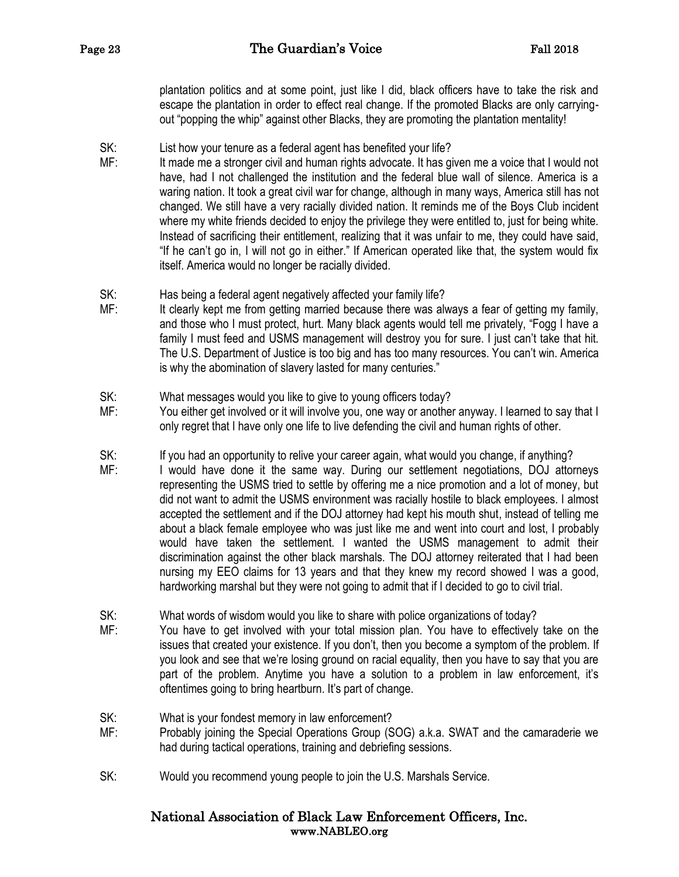plantation politics and at some point, just like I did, black officers have to take the risk and escape the plantation in order to effect real change. If the promoted Blacks are only carryingout "popping the whip" against other Blacks, they are promoting the plantation mentality!

- SK: List how your tenure as a federal agent has benefited your life?
- MF: It made me a stronger civil and human rights advocate. It has given me a voice that I would not have, had I not challenged the institution and the federal blue wall of silence. America is a waring nation. It took a great civil war for change, although in many ways, America still has not changed. We still have a very racially divided nation. It reminds me of the Boys Club incident where my white friends decided to enjoy the privilege they were entitled to, just for being white. Instead of sacrificing their entitlement, realizing that it was unfair to me, they could have said, "If he can't go in, I will not go in either." If American operated like that, the system would fix itself. America would no longer be racially divided.
- SK: Has being a federal agent negatively affected your family life?
- MF: It clearly kept me from getting married because there was always a fear of getting my family, and those who I must protect, hurt. Many black agents would tell me privately, "Fogg I have a family I must feed and USMS management will destroy you for sure. I just can't take that hit. The U.S. Department of Justice is too big and has too many resources. You can't win. America is why the abomination of slavery lasted for many centuries."
- SK: What messages would you like to give to young officers today?
- MF: You either get involved or it will involve you, one way or another anyway. I learned to say that I only regret that I have only one life to live defending the civil and human rights of other.
- SK: If you had an opportunity to relive your career again, what would you change, if anything?
- MF: I would have done it the same way. During our settlement negotiations, DOJ attorneys representing the USMS tried to settle by offering me a nice promotion and a lot of money, but did not want to admit the USMS environment was racially hostile to black employees. I almost accepted the settlement and if the DOJ attorney had kept his mouth shut, instead of telling me about a black female employee who was just like me and went into court and lost, I probably would have taken the settlement. I wanted the USMS management to admit their discrimination against the other black marshals. The DOJ attorney reiterated that I had been nursing my EEO claims for 13 years and that they knew my record showed I was a good, hardworking marshal but they were not going to admit that if I decided to go to civil trial.
- SK: What words of wisdom would you like to share with police organizations of today?
- MF: You have to get involved with your total mission plan. You have to effectively take on the issues that created your existence. If you don't, then you become a symptom of the problem. If you look and see that we're losing ground on racial equality, then you have to say that you are part of the problem. Anytime you have a solution to a problem in law enforcement, it's oftentimes going to bring heartburn. It's part of change.
- SK: What is your fondest memory in law enforcement?
- MF: Probably joining the Special Operations Group (SOG) a.k.a. SWAT and the camaraderie we had during tactical operations, training and debriefing sessions.
- SK: Would you recommend young people to join the U.S. Marshals Service.